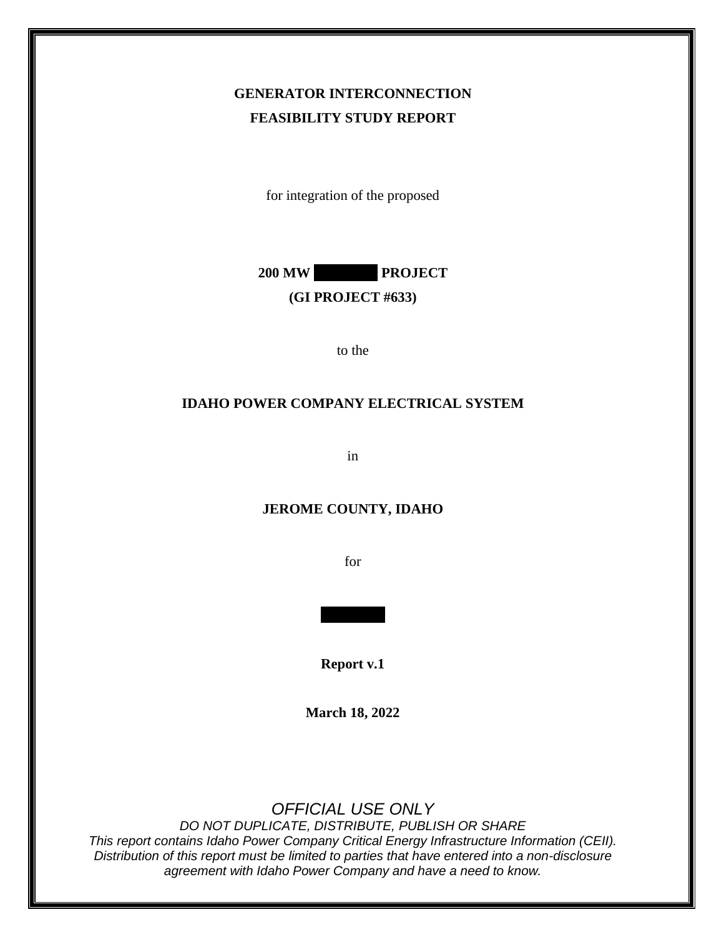## **GENERATOR INTERCONNECTION FEASIBILITY STUDY REPORT**

for integration of the proposed



#### **(GI PROJECT #633)**

to the

#### **IDAHO POWER COMPANY ELECTRICAL SYSTEM**

in

#### **JEROME COUNTY, IDAHO**

for

**Report v.1**

**March 18, 2022**

*OFFICIAL USE ONLY*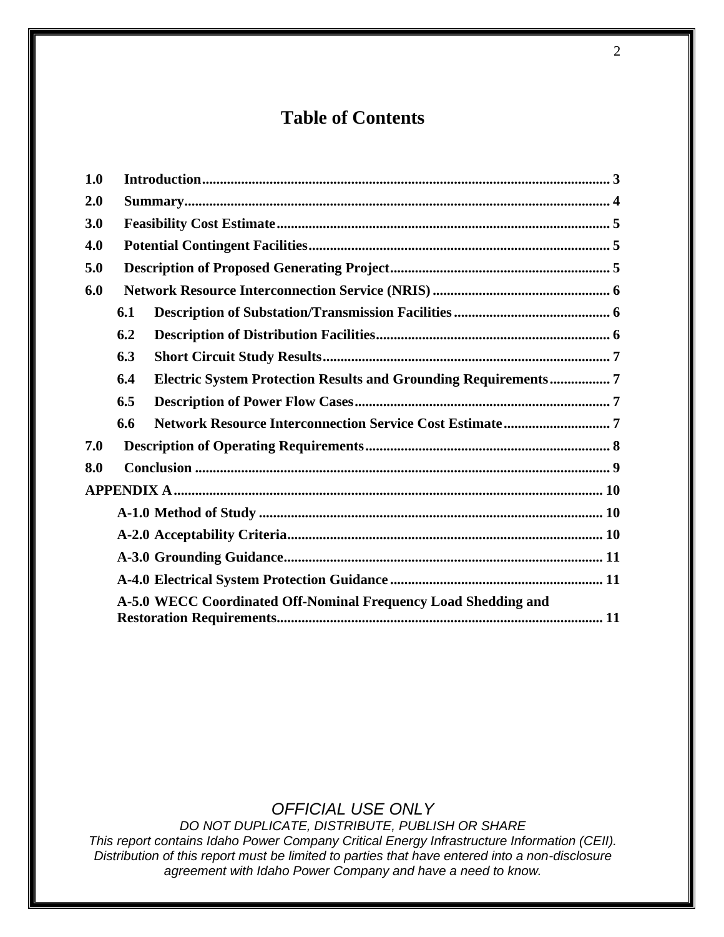# **Table of Contents**

| 1.0 |                                                                |                                                                |  |  |
|-----|----------------------------------------------------------------|----------------------------------------------------------------|--|--|
| 2.0 |                                                                |                                                                |  |  |
| 3.0 |                                                                |                                                                |  |  |
| 4.0 |                                                                |                                                                |  |  |
| 5.0 |                                                                |                                                                |  |  |
| 6.0 |                                                                |                                                                |  |  |
|     | 6.1                                                            |                                                                |  |  |
|     | 6.2                                                            |                                                                |  |  |
|     | 6.3                                                            |                                                                |  |  |
|     | 6.4                                                            | Electric System Protection Results and Grounding Requirements7 |  |  |
|     | 6.5                                                            |                                                                |  |  |
|     | 6.6                                                            |                                                                |  |  |
| 7.0 |                                                                |                                                                |  |  |
| 8.0 |                                                                |                                                                |  |  |
|     |                                                                |                                                                |  |  |
|     |                                                                |                                                                |  |  |
|     |                                                                |                                                                |  |  |
|     |                                                                |                                                                |  |  |
|     |                                                                |                                                                |  |  |
|     | A-5.0 WECC Coordinated Off-Nominal Frequency Load Shedding and |                                                                |  |  |

## *OFFICIAL USE ONLY*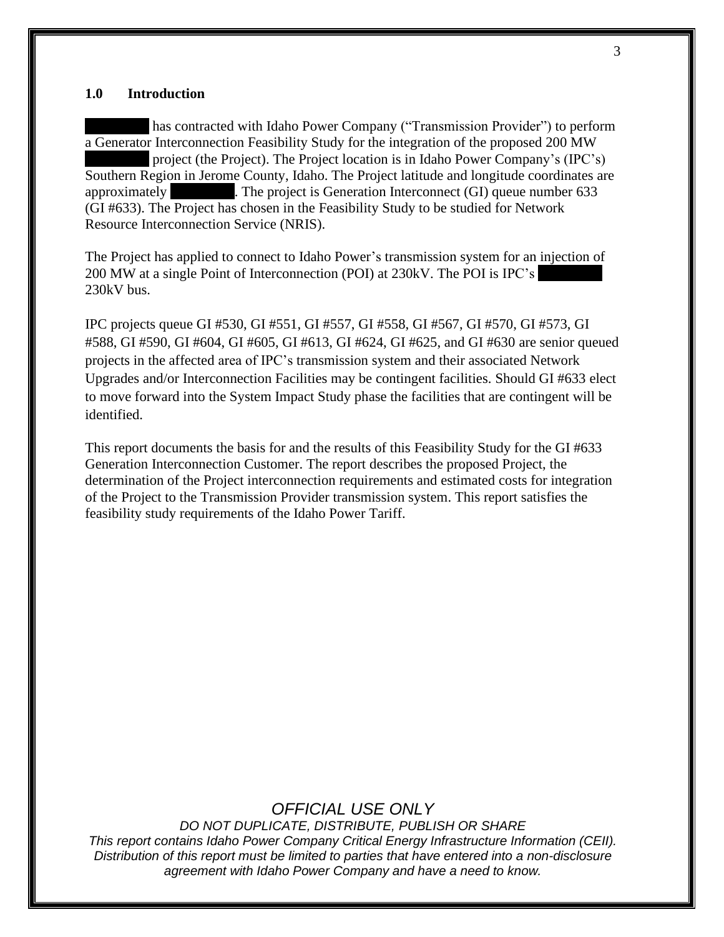#### <span id="page-2-0"></span>**1.0 Introduction**

has contracted with Idaho Power Company ("Transmission Provider") to perform a Generator Interconnection Feasibility Study for the integration of the proposed 200 MW project (the Project). The Project location is in Idaho Power Company's (IPC's) Southern Region in Jerome County, Idaho. The Project latitude and longitude coordinates are approximately **xxxx**. The project is Generation Interconnect (GI) queue number 633 (GI #633). The Project has chosen in the Feasibility Study to be studied for Network Resource Interconnection Service (NRIS).

The Project has applied to connect to Idaho Power's transmission system for an injection of 200 MW at a single Point of Interconnection (POI) at 230kV. The POI is IPC's 230kV bus.

IPC projects queue GI #530, GI #551, GI #557, GI #558, GI #567, GI #570, GI #573, GI #588, GI #590, GI #604, GI #605, GI #613, GI #624, GI #625, and GI #630 are senior queued projects in the affected area of IPC's transmission system and their associated Network Upgrades and/or Interconnection Facilities may be contingent facilities. Should GI #633 elect to move forward into the System Impact Study phase the facilities that are contingent will be identified.

This report documents the basis for and the results of this Feasibility Study for the GI #633 Generation Interconnection Customer. The report describes the proposed Project, the determination of the Project interconnection requirements and estimated costs for integration of the Project to the Transmission Provider transmission system. This report satisfies the feasibility study requirements of the Idaho Power Tariff.

### *OFFICIAL USE ONLY*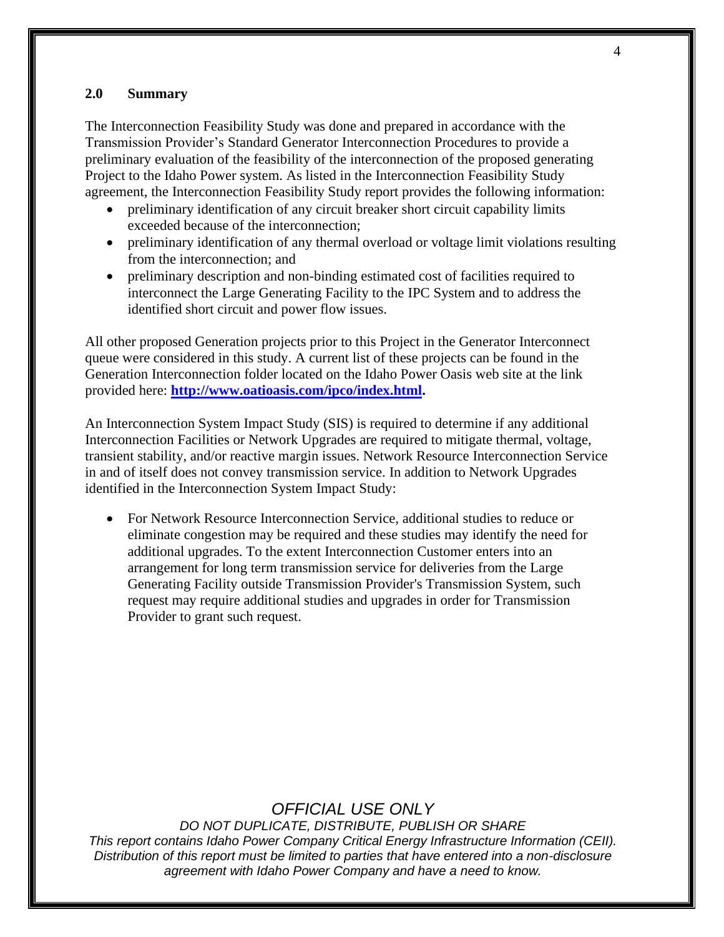#### <span id="page-3-0"></span>**2.0 Summary**

The Interconnection Feasibility Study was done and prepared in accordance with the Transmission Provider's Standard Generator Interconnection Procedures to provide a preliminary evaluation of the feasibility of the interconnection of the proposed generating Project to the Idaho Power system. As listed in the Interconnection Feasibility Study agreement, the Interconnection Feasibility Study report provides the following information:

- preliminary identification of any circuit breaker short circuit capability limits exceeded because of the interconnection;
- preliminary identification of any thermal overload or voltage limit violations resulting from the interconnection; and
- preliminary description and non-binding estimated cost of facilities required to interconnect the Large Generating Facility to the IPC System and to address the identified short circuit and power flow issues.

All other proposed Generation projects prior to this Project in the Generator Interconnect queue were considered in this study. A current list of these projects can be found in the Generation Interconnection folder located on the Idaho Power Oasis web site at the link provided here: **[http://www.oatioasis.com/ipco/index.html.](http://www.oatioasis.com/ipco/index.html)**

An Interconnection System Impact Study (SIS) is required to determine if any additional Interconnection Facilities or Network Upgrades are required to mitigate thermal, voltage, transient stability, and/or reactive margin issues. Network Resource Interconnection Service in and of itself does not convey transmission service. In addition to Network Upgrades identified in the Interconnection System Impact Study:

• For Network Resource Interconnection Service, additional studies to reduce or eliminate congestion may be required and these studies may identify the need for additional upgrades. To the extent Interconnection Customer enters into an arrangement for long term transmission service for deliveries from the Large Generating Facility outside Transmission Provider's Transmission System, such request may require additional studies and upgrades in order for Transmission Provider to grant such request.

### *OFFICIAL USE ONLY*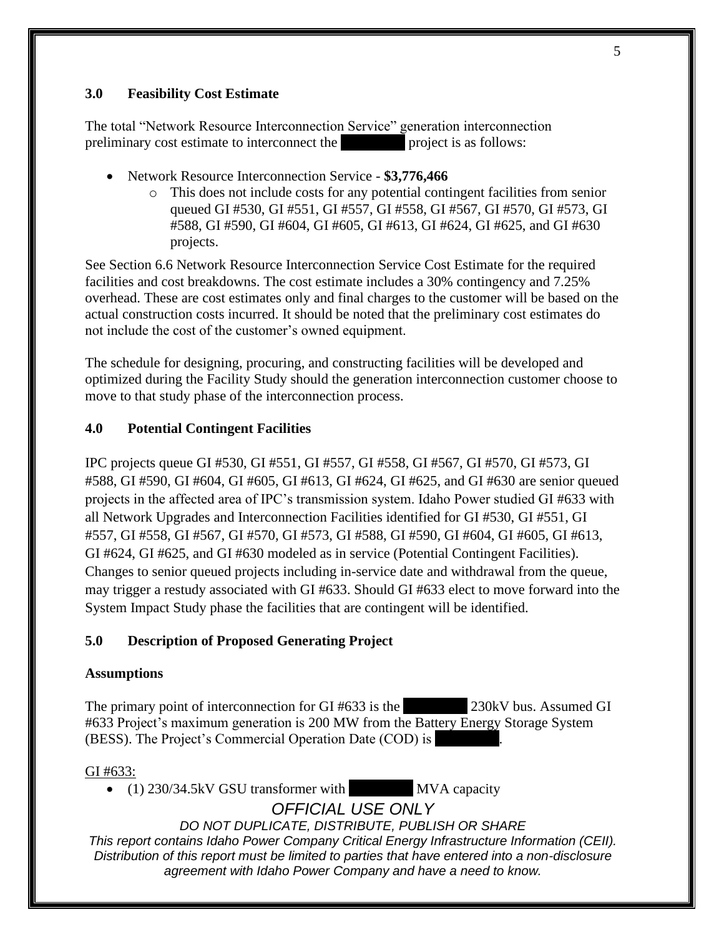#### <span id="page-4-0"></span>**3.0 Feasibility Cost Estimate**

The total "Network Resource Interconnection Service" generation interconnection preliminary cost estimate to interconnect the **xxxx** project is as follows:

- Network Resource Interconnection Service **\$3,776,466**
	- o This does not include costs for any potential contingent facilities from senior queued GI #530, GI #551, GI #557, GI #558, GI #567, GI #570, GI #573, GI #588, GI #590, GI #604, GI #605, GI #613, GI #624, GI #625, and GI #630 projects.

See Section 6.6 Network Resource Interconnection Service Cost Estimate for the required facilities and cost breakdowns. The cost estimate includes a 30% contingency and 7.25% overhead. These are cost estimates only and final charges to the customer will be based on the actual construction costs incurred. It should be noted that the preliminary cost estimates do not include the cost of the customer's owned equipment.

The schedule for designing, procuring, and constructing facilities will be developed and optimized during the Facility Study should the generation interconnection customer choose to move to that study phase of the interconnection process.

### <span id="page-4-1"></span>**4.0 Potential Contingent Facilities**

IPC projects queue GI #530, GI #551, GI #557, GI #558, GI #567, GI #570, GI #573, GI #588, GI #590, GI #604, GI #605, GI #613, GI #624, GI #625, and GI #630 are senior queued projects in the affected area of IPC's transmission system. Idaho Power studied GI #633 with all Network Upgrades and Interconnection Facilities identified for GI #530, GI #551, GI #557, GI #558, GI #567, GI #570, GI #573, GI #588, GI #590, GI #604, GI #605, GI #613, GI #624, GI #625, and GI #630 modeled as in service (Potential Contingent Facilities). Changes to senior queued projects including in-service date and withdrawal from the queue, may trigger a restudy associated with GI #633. Should GI #633 elect to move forward into the System Impact Study phase the facilities that are contingent will be identified.

### <span id="page-4-2"></span>**5.0 Description of Proposed Generating Project**

### **Assumptions**

The primary point of interconnection for GI #633 is the *z30kV* bus. Assumed GI #633 Project's maximum generation is 200 MW from the Battery Energy Storage System (BESS). The Project's Commercial Operation Date (COD) is

### GI #633:

• (1) 230/34.5kV GSU transformer with **XXX** MVA capacity

*OFFICIAL USE ONLY*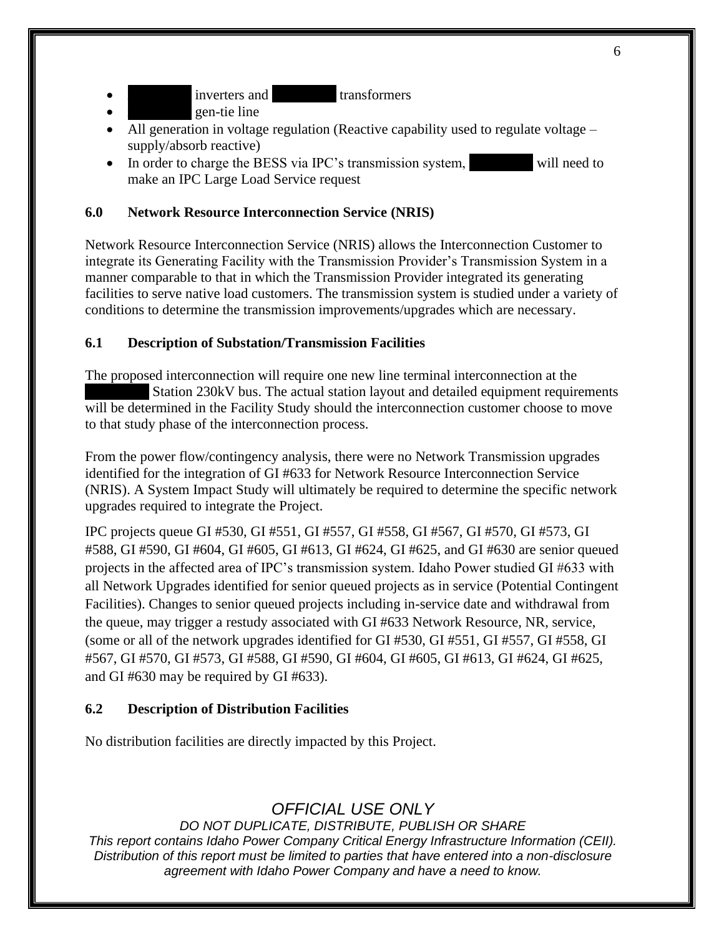inverters and **transformers** 

gen-tie line

- All generation in voltage regulation (Reactive capability used to regulate voltage supply/absorb reactive)
- In order to charge the BESS via IPC's transmission system, will need to make an IPC Large Load Service request

### <span id="page-5-0"></span>**6.0 Network Resource Interconnection Service (NRIS)**

Network Resource Interconnection Service (NRIS) allows the Interconnection Customer to integrate its Generating Facility with the Transmission Provider's Transmission System in a manner comparable to that in which the Transmission Provider integrated its generating facilities to serve native load customers. The transmission system is studied under a variety of conditions to determine the transmission improvements/upgrades which are necessary.

#### <span id="page-5-1"></span>**6.1 Description of Substation/Transmission Facilities**

The proposed interconnection will require one new line terminal interconnection at the **Station 230kV bus. The actual station layout and detailed equipment requirements** will be determined in the Facility Study should the interconnection customer choose to move to that study phase of the interconnection process.

From the power flow/contingency analysis, there were no Network Transmission upgrades identified for the integration of GI #633 for Network Resource Interconnection Service (NRIS). A System Impact Study will ultimately be required to determine the specific network upgrades required to integrate the Project.

IPC projects queue GI #530, GI #551, GI #557, GI #558, GI #567, GI #570, GI #573, GI #588, GI #590, GI #604, GI #605, GI #613, GI #624, GI #625, and GI #630 are senior queued projects in the affected area of IPC's transmission system. Idaho Power studied GI #633 with all Network Upgrades identified for senior queued projects as in service (Potential Contingent Facilities). Changes to senior queued projects including in-service date and withdrawal from the queue, may trigger a restudy associated with GI #633 Network Resource, NR, service, (some or all of the network upgrades identified for GI #530, GI #551, GI #557, GI #558, GI #567, GI #570, GI #573, GI #588, GI #590, GI #604, GI #605, GI #613, GI #624, GI #625, and GI #630 may be required by GI #633).

### <span id="page-5-2"></span>**6.2 Description of Distribution Facilities**

No distribution facilities are directly impacted by this Project.

## *OFFICIAL USE ONLY*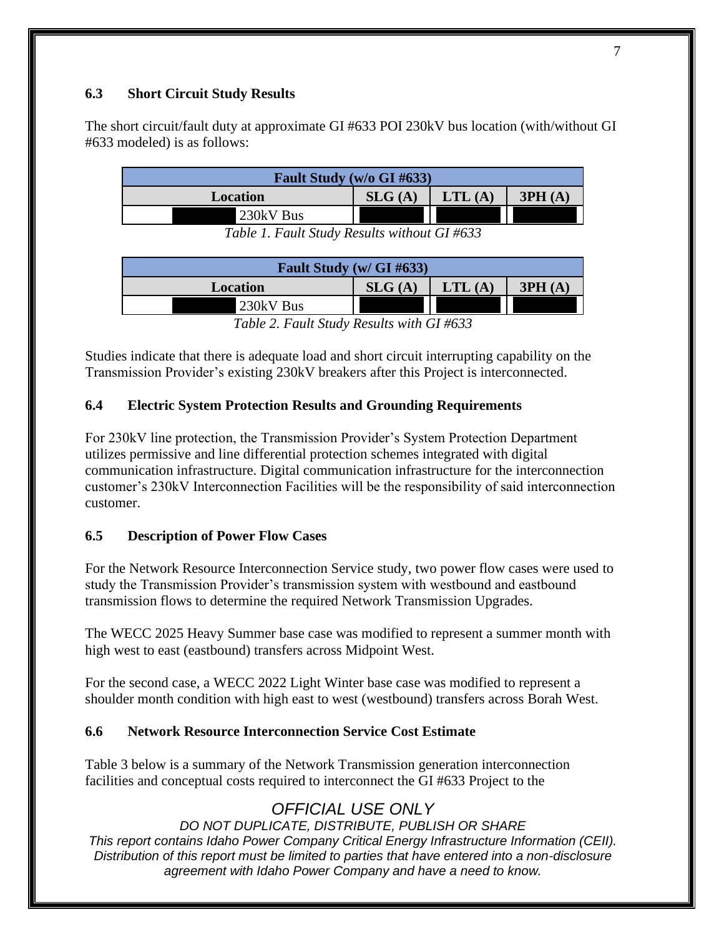### <span id="page-6-0"></span>**6.3 Short Circuit Study Results**

The short circuit/fault duty at approximate GI #633 POI 230kV bus location (with/without GI #633 modeled) is as follows:

| <b>Fault Study (w/o GI #633)</b> |        |        |        |  |  |  |
|----------------------------------|--------|--------|--------|--|--|--|
| Location                         | SLG(A) | LTL(A) | 3PH(A) |  |  |  |
| 230kV Bus                        |        |        |        |  |  |  |

*Table 1. Fault Study Results without GI #633*

| Fault Study (w/ GI #633) |        |        |        |  |  |  |
|--------------------------|--------|--------|--------|--|--|--|
| Location                 | SLG(A) | LTL(A) | 3PH(A) |  |  |  |
| 230kV Bus                |        |        |        |  |  |  |
|                          | .      |        |        |  |  |  |

*Table 2. Fault Study Results with GI #633*

Studies indicate that there is adequate load and short circuit interrupting capability on the Transmission Provider's existing 230kV breakers after this Project is interconnected.

### <span id="page-6-1"></span>**6.4 Electric System Protection Results and Grounding Requirements**

For 230kV line protection, the Transmission Provider's System Protection Department utilizes permissive and line differential protection schemes integrated with digital communication infrastructure. Digital communication infrastructure for the interconnection customer's 230kV Interconnection Facilities will be the responsibility of said interconnection customer.

### <span id="page-6-2"></span>**6.5 Description of Power Flow Cases**

For the Network Resource Interconnection Service study, two power flow cases were used to study the Transmission Provider's transmission system with westbound and eastbound transmission flows to determine the required Network Transmission Upgrades.

The WECC 2025 Heavy Summer base case was modified to represent a summer month with high west to east (eastbound) transfers across Midpoint West.

For the second case, a WECC 2022 Light Winter base case was modified to represent a shoulder month condition with high east to west (westbound) transfers across Borah West.

### <span id="page-6-3"></span>**6.6 Network Resource Interconnection Service Cost Estimate**

Table 3 below is a summary of the Network Transmission generation interconnection facilities and conceptual costs required to interconnect the GI #633 Project to the

## *OFFICIAL USE ONLY*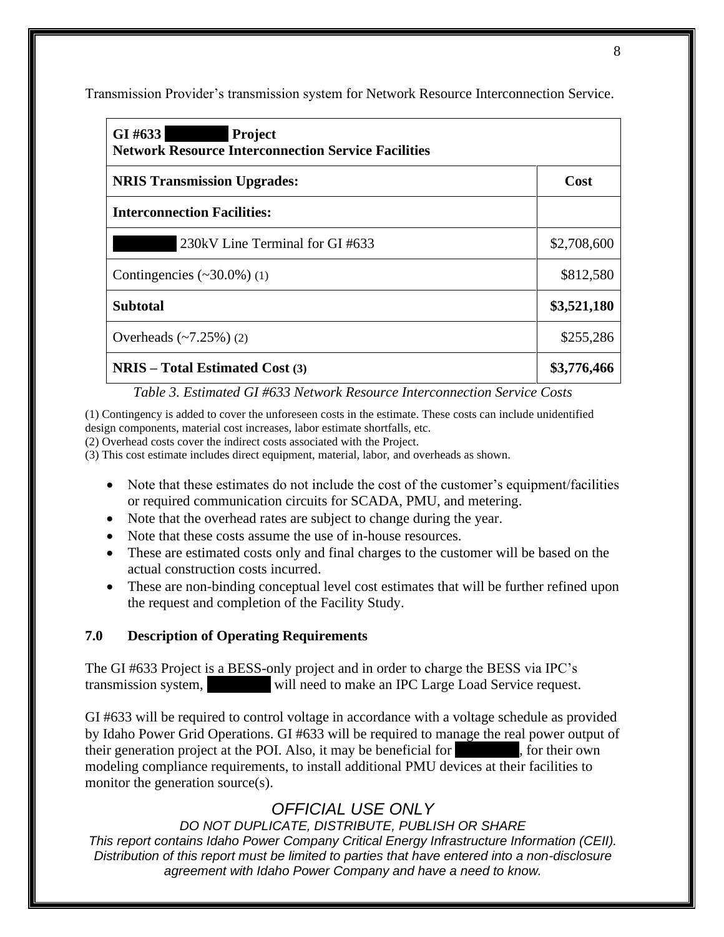Transmission Provider's transmission system for Network Resource Interconnection Service.

| GI# $633$<br>Project<br><b>Network Resource Interconnection Service Facilities</b> |             |  |
|------------------------------------------------------------------------------------|-------------|--|
| <b>NRIS Transmission Upgrades:</b>                                                 | Cost        |  |
| <b>Interconnection Facilities:</b>                                                 |             |  |
| 230kV Line Terminal for GI #633                                                    | \$2,708,600 |  |
| Contingencies $(\sim 30.0\%)$ (1)                                                  | \$812,580   |  |
| <b>Subtotal</b>                                                                    | \$3,521,180 |  |
| Overheads $(-7.25%) (2)$                                                           | \$255,286   |  |
| $NRIS - Total Estimated Cost (3)$                                                  | \$3,776,466 |  |

#### *Table 3. Estimated GI #633 Network Resource Interconnection Service Costs*

(1) Contingency is added to cover the unforeseen costs in the estimate. These costs can include unidentified design components, material cost increases, labor estimate shortfalls, etc.

(2) Overhead costs cover the indirect costs associated with the Project.

(3) This cost estimate includes direct equipment, material, labor, and overheads as shown.

- Note that these estimates do not include the cost of the customer's equipment/facilities or required communication circuits for SCADA, PMU, and metering.
- Note that the overhead rates are subject to change during the year.
- Note that these costs assume the use of in-house resources.
- These are estimated costs only and final charges to the customer will be based on the actual construction costs incurred.
- These are non-binding conceptual level cost estimates that will be further refined upon the request and completion of the Facility Study.

### <span id="page-7-0"></span>**7.0 Description of Operating Requirements**

The GI #633 Project is a BESS-only project and in order to charge the BESS via IPC's transmission system, will need to make an IPC Large Load Service request.

GI #633 will be required to control voltage in accordance with a voltage schedule as provided by Idaho Power Grid Operations. GI #633 will be required to manage the real power output of their generation project at the POI. Also, it may be beneficial for **xxx**, for their own modeling compliance requirements, to install additional PMU devices at their facilities to monitor the generation source(s).

# *OFFICIAL USE ONLY*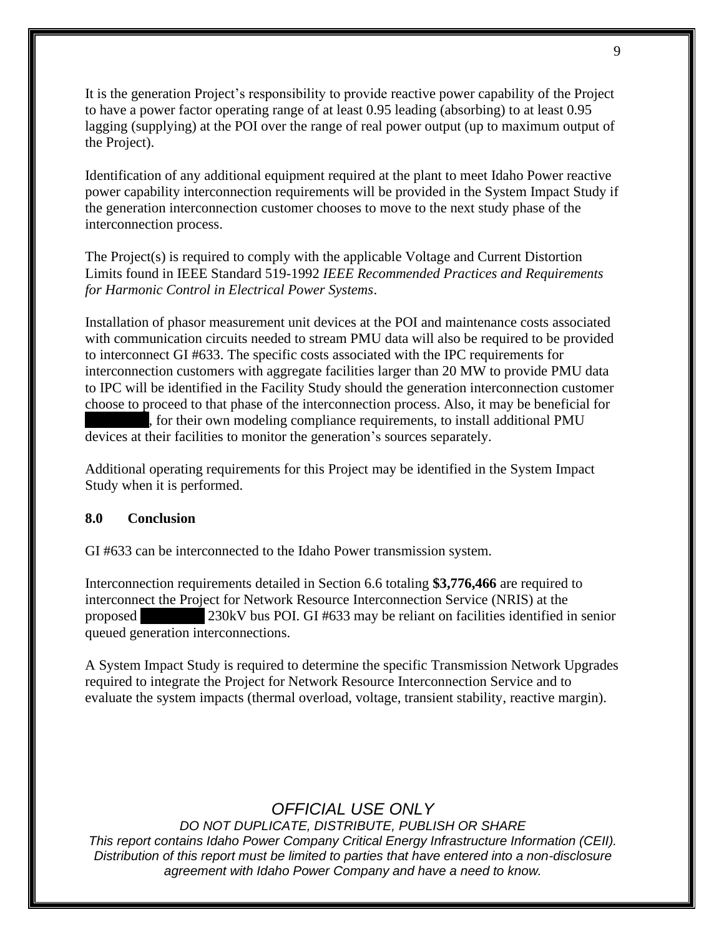It is the generation Project's responsibility to provide reactive power capability of the Project to have a power factor operating range of at least 0.95 leading (absorbing) to at least 0.95 lagging (supplying) at the POI over the range of real power output (up to maximum output of the Project).

Identification of any additional equipment required at the plant to meet Idaho Power reactive power capability interconnection requirements will be provided in the System Impact Study if the generation interconnection customer chooses to move to the next study phase of the interconnection process.

The Project(s) is required to comply with the applicable Voltage and Current Distortion Limits found in IEEE Standard 519-1992 *IEEE Recommended Practices and Requirements for Harmonic Control in Electrical Power Systems*.

Installation of phasor measurement unit devices at the POI and maintenance costs associated with communication circuits needed to stream PMU data will also be required to be provided to interconnect GI #633. The specific costs associated with the IPC requirements for interconnection customers with aggregate facilities larger than 20 MW to provide PMU data to IPC will be identified in the Facility Study should the generation interconnection customer choose to proceed to that phase of the interconnection process. Also, it may be beneficial for

**xxxxxxxxx**, for their own modeling compliance requirements, to install additional PMU devices at their facilities to monitor the generation's sources separately.

Additional operating requirements for this Project may be identified in the System Impact Study when it is performed.

#### <span id="page-8-0"></span>**8.0 Conclusion**

GI #633 can be interconnected to the Idaho Power transmission system.

Interconnection requirements detailed in Section 6.6 totaling **\$3,776,466** are required to interconnect the Project for Network Resource Interconnection Service (NRIS) at the proposed **230kV** bus POI. GI #633 may be reliant on facilities identified in senior queued generation interconnections.

A System Impact Study is required to determine the specific Transmission Network Upgrades required to integrate the Project for Network Resource Interconnection Service and to evaluate the system impacts (thermal overload, voltage, transient stability, reactive margin).

### *OFFICIAL USE ONLY*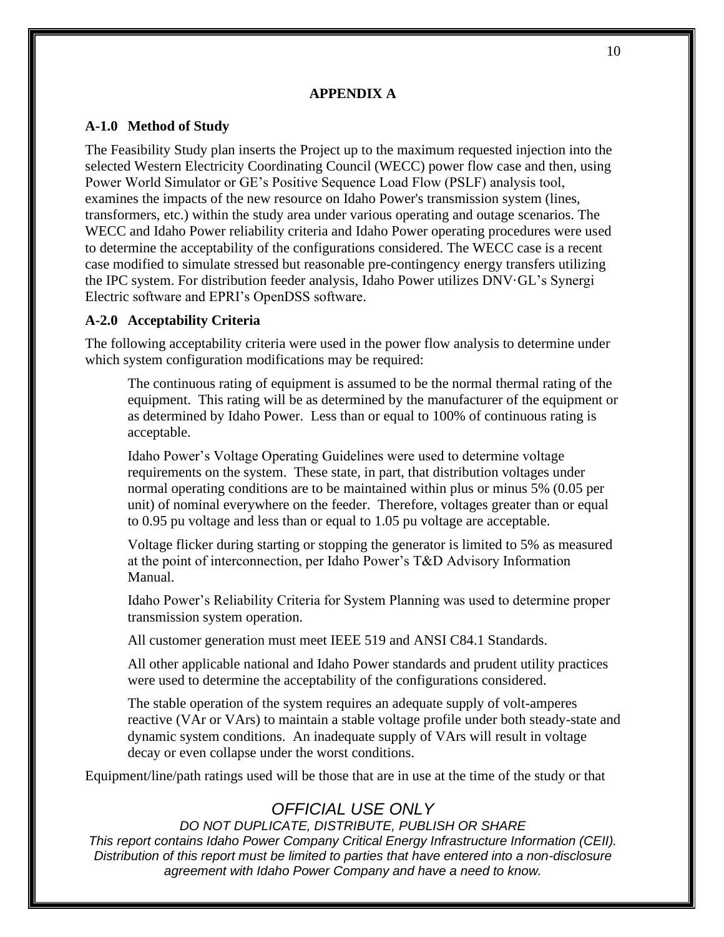#### **APPENDIX A**

#### <span id="page-9-1"></span><span id="page-9-0"></span>**A-1.0 Method of Study**

The Feasibility Study plan inserts the Project up to the maximum requested injection into the selected Western Electricity Coordinating Council (WECC) power flow case and then, using Power World Simulator or GE's Positive Sequence Load Flow (PSLF) analysis tool, examines the impacts of the new resource on Idaho Power's transmission system (lines, transformers, etc.) within the study area under various operating and outage scenarios. The WECC and Idaho Power reliability criteria and Idaho Power operating procedures were used to determine the acceptability of the configurations considered. The WECC case is a recent case modified to simulate stressed but reasonable pre-contingency energy transfers utilizing the IPC system. For distribution feeder analysis, Idaho Power utilizes DNV·GL's Synergi Electric software and EPRI's OpenDSS software.

#### <span id="page-9-2"></span>**A-2.0 Acceptability Criteria**

The following acceptability criteria were used in the power flow analysis to determine under which system configuration modifications may be required:

The continuous rating of equipment is assumed to be the normal thermal rating of the equipment. This rating will be as determined by the manufacturer of the equipment or as determined by Idaho Power. Less than or equal to 100% of continuous rating is acceptable.

Idaho Power's Voltage Operating Guidelines were used to determine voltage requirements on the system. These state, in part, that distribution voltages under normal operating conditions are to be maintained within plus or minus 5% (0.05 per unit) of nominal everywhere on the feeder. Therefore, voltages greater than or equal to 0.95 pu voltage and less than or equal to 1.05 pu voltage are acceptable.

Voltage flicker during starting or stopping the generator is limited to 5% as measured at the point of interconnection, per Idaho Power's T&D Advisory Information Manual.

Idaho Power's Reliability Criteria for System Planning was used to determine proper transmission system operation.

All customer generation must meet IEEE 519 and ANSI C84.1 Standards.

All other applicable national and Idaho Power standards and prudent utility practices were used to determine the acceptability of the configurations considered.

The stable operation of the system requires an adequate supply of volt-amperes reactive (VAr or VArs) to maintain a stable voltage profile under both steady-state and dynamic system conditions. An inadequate supply of VArs will result in voltage decay or even collapse under the worst conditions.

Equipment/line/path ratings used will be those that are in use at the time of the study or that

## *OFFICIAL USE ONLY*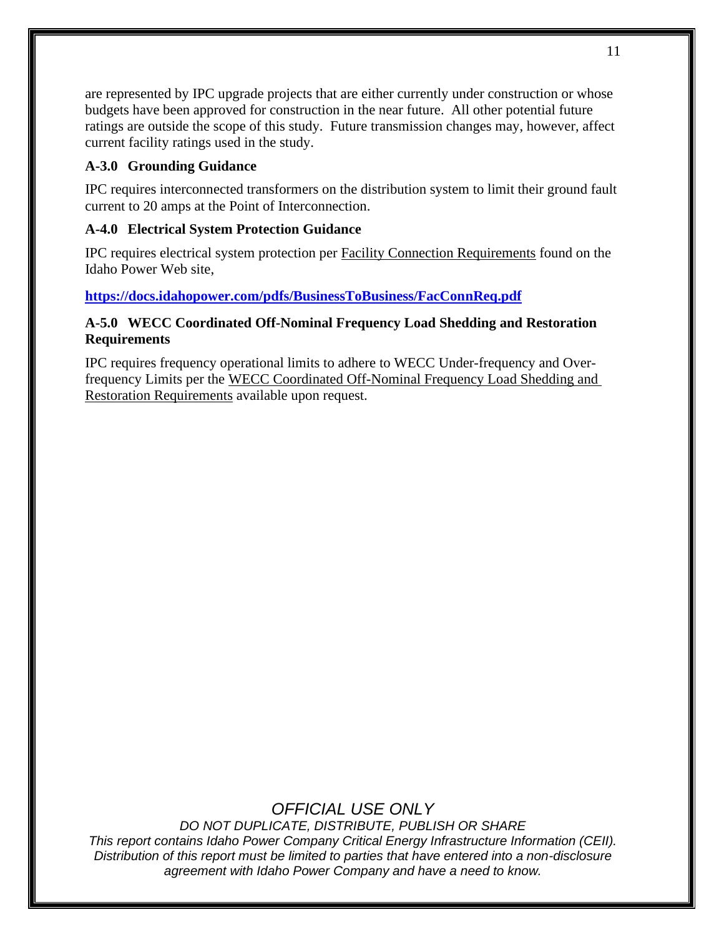are represented by IPC upgrade projects that are either currently under construction or whose budgets have been approved for construction in the near future. All other potential future ratings are outside the scope of this study. Future transmission changes may, however, affect current facility ratings used in the study.

#### <span id="page-10-0"></span>**A-3.0 Grounding Guidance**

IPC requires interconnected transformers on the distribution system to limit their ground fault current to 20 amps at the Point of Interconnection.

#### <span id="page-10-1"></span>**A-4.0 Electrical System Protection Guidance**

IPC requires electrical system protection per Facility Connection Requirements found on the Idaho Power Web site,

### **<https://docs.idahopower.com/pdfs/BusinessToBusiness/FacConnReq.pdf>**

### <span id="page-10-2"></span>**A-5.0 WECC Coordinated Off-Nominal Frequency Load Shedding and Restoration Requirements**

IPC requires frequency operational limits to adhere to WECC Under-frequency and Overfrequency Limits per the WECC Coordinated Off-Nominal Frequency Load Shedding and Restoration Requirements available upon request.

## *OFFICIAL USE ONLY*